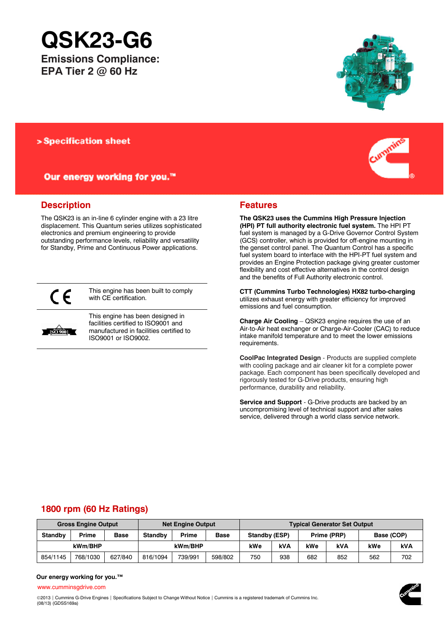# **QSK23-G6**

**Emissions Compliance: EPA Tier 2 @ 60 Hz**



Our energy working for you.™

# **Description**

The QSK23 is an in-line 6 cylinder engine with a 23 litre displacement. This Quantum series utilizes sophisticated electronics and premium engineering to provide outstanding performance levels, reliability and versatility for Standby, Prime and Continuous Power applications.



This engine has been built to comply with CE certification.



This engine has been designed in facilities certified to ISO9001 and manufactured in facilities certified to ISO9001 or ISO9002.





# **Features**

**The QSK23 uses the Cummins High Pressure Injection (HPI) PT full authority electronic fuel system.** The HPI PT fuel system is managed by a G-Drive Governor Control System (GCS) controller, which is provided for off-engine mounting in the genset control panel. The Quantum Control has a specific fuel system board to interface with the HPI-PT fuel system and provides an Engine Protection package giving greater customer flexibility and cost effective alternatives in the control design and the benefits of Full Authority electronic control.

**CTT (Cummins Turbo Technologies) HX82 turbo-charging** utilizes exhaust energy with greater efficiency for improved emissions and fuel consumption.

**Charge Air Cooling** – QSK23 engine requires the use of an Air-to-Air heat exchanger or Charge-Air-Cooler (CAC) to reduce intake manifold temperature and to meet the lower emissions requirements.

**CoolPac Integrated Design** - Products are supplied complete with cooling package and air cleaner kit for a complete power package. Each component has been specifically developed and rigorously tested for G-Drive products, ensuring high performance, durability and reliability.

**Service and Support** - G-Drive products are backed by an uncompromising level of technical support and after sales service, delivered through a world class service network.

# **1800 rpm (60 Hz Ratings)**

| <b>Gross Engine Output</b> |          |             | <b>Net Engine Output</b> |         |             | <b>Typical Generator Set Output</b> |            |             |            |            |     |
|----------------------------|----------|-------------|--------------------------|---------|-------------|-------------------------------------|------------|-------------|------------|------------|-----|
| <b>Standby</b>             | Prime    | <b>Base</b> | Standby                  | Prime   | <b>Base</b> | Standby (ESP)                       |            | Prime (PRP) |            | Base (COP) |     |
| kWm/BHP                    |          |             | kWm/BHP                  |         |             | kWe                                 | <b>kVA</b> | kWe         | <b>kVA</b> | kWe        | kVA |
| 854/1145                   | 768/1030 | 627/840     | 816/1094                 | 739/991 | 598/802     | 750                                 | 938        | 682         | 852        | 562        | 702 |

#### **Our energy working for you.™**

[www.cumminsgdrive.com](http://www.cumminsgdrive.com/)